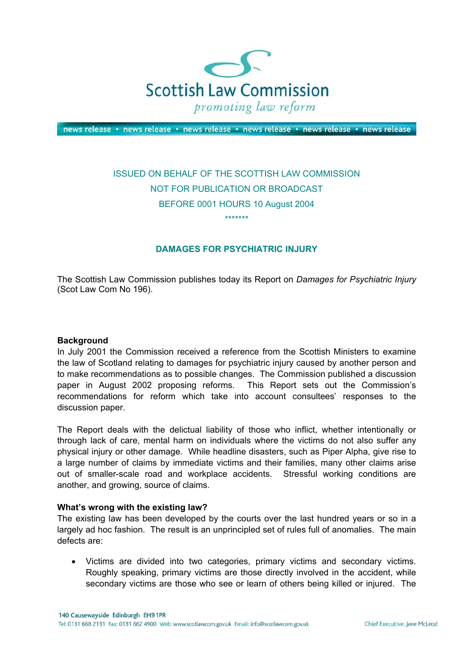

news release · news release · news release · news release · news release · news release

# ISSUED ON BEHALF OF THE SCOTTISH LAW COMMISSION NOT FOR PUBLICATION OR BROADCAST BEFORE 0001 HOURS 10 August 2004 \*\*\*\*\*\*\*

## **DAMAGES FOR PSYCHIATRIC INJURY**

The Scottish Law Commission publishes today its Report on *Damages for Psychiatric Injury* (Scot Law Com No 196).

#### **Background**

In July 2001 the Commission received a reference from the Scottish Ministers to examine the law of Scotland relating to damages for psychiatric injury caused by another person and to make recommendations as to possible changes. The Commission published a discussion paper in August 2002 proposing reforms. This Report sets out the Commission's recommendations for reform which take into account consultees' responses to the discussion paper.

The Report deals with the delictual liability of those who inflict, whether intentionally or through lack of care, mental harm on individuals where the victims do not also suffer any physical injury or other damage. While headline disasters, such as Piper Alpha, give rise to a large number of claims by immediate victims and their families, many other claims arise out of smaller-scale road and workplace accidents. Stressful working conditions are another, and growing, source of claims.

#### **What's wrong with the existing law?**

The existing law has been developed by the courts over the last hundred years or so in a largely ad hoc fashion. The result is an unprincipled set of rules full of anomalies. The main defects are:

• Victims are divided into two categories, primary victims and secondary victims. Roughly speaking, primary victims are those directly involved in the accident, while secondary victims are those who see or learn of others being killed or injured. The

140 Causewayside Edinburgh EH9 1PR Tel: 0131 668 2131 Fax: 0131 662 4900 Web: www.scotlawcom.gov.uk Email: info@scotlawcom.gov.uk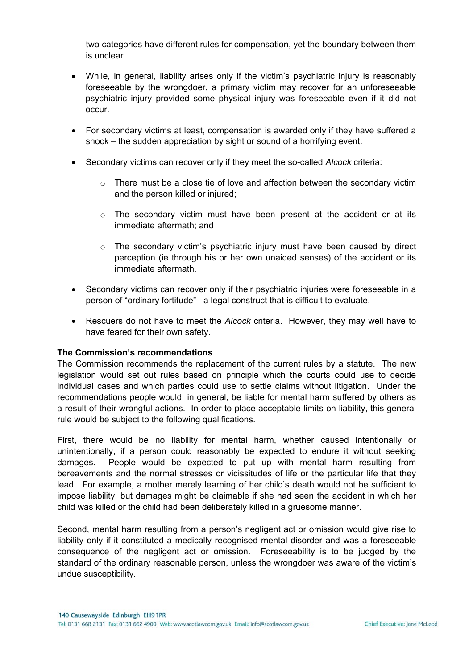two categories have different rules for compensation, yet the boundary between them is unclear.

- While, in general, liability arises only if the victim's psychiatric injury is reasonably foreseeable by the wrongdoer, a primary victim may recover for an unforeseeable psychiatric injury provided some physical injury was foreseeable even if it did not occur.
- For secondary victims at least, compensation is awarded only if they have suffered a shock – the sudden appreciation by sight or sound of a horrifying event.
- Secondary victims can recover only if they meet the so-called *Alcock* criteria:
	- o There must be a close tie of love and affection between the secondary victim and the person killed or injured;
	- $\circ$  The secondary victim must have been present at the accident or at its immediate aftermath; and
	- $\circ$  The secondary victim's psychiatric injury must have been caused by direct perception (ie through his or her own unaided senses) of the accident or its immediate aftermath.
- Secondary victims can recover only if their psychiatric injuries were foreseeable in a person of "ordinary fortitude"– a legal construct that is difficult to evaluate.
- Rescuers do not have to meet the *Alcock* criteria. However, they may well have to have feared for their own safety.

## **The Commission's recommendations**

The Commission recommends the replacement of the current rules by a statute. The new legislation would set out rules based on principle which the courts could use to decide individual cases and which parties could use to settle claims without litigation. Under the recommendations people would, in general, be liable for mental harm suffered by others as a result of their wrongful actions. In order to place acceptable limits on liability, this general rule would be subject to the following qualifications.

First, there would be no liability for mental harm, whether caused intentionally or unintentionally, if a person could reasonably be expected to endure it without seeking damages. People would be expected to put up with mental harm resulting from bereavements and the normal stresses or vicissitudes of life or the particular life that they lead. For example, a mother merely learning of her child's death would not be sufficient to impose liability, but damages might be claimable if she had seen the accident in which her child was killed or the child had been deliberately killed in a gruesome manner.

Second, mental harm resulting from a person's negligent act or omission would give rise to liability only if it constituted a medically recognised mental disorder and was a foreseeable consequence of the negligent act or omission. Foreseeability is to be judged by the standard of the ordinary reasonable person, unless the wrongdoer was aware of the victim's undue susceptibility.